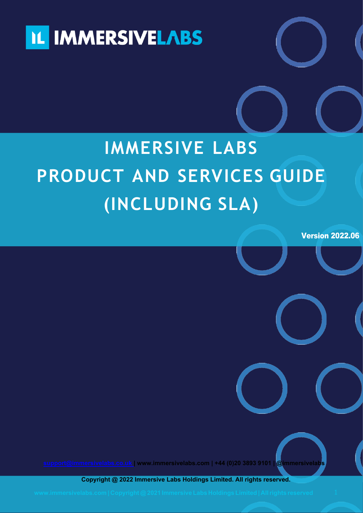

# **IMMERSIVE LABS PRODUCT AND SERVICES GUIDE ( INCLUDING SLA)**

Version 2022.06

ServicesGuide

**[support@immersivelabs.co.uk |](mailto:support@immersivelabs.co.uk) [www.immersivelabs.com |](http://www.immersivelabs.com/) +44 (0)20 3893 9101 | @immersivelabs** 

**Copyright @ 2022 Immersive Labs Holdings Limited. All rights reserved.**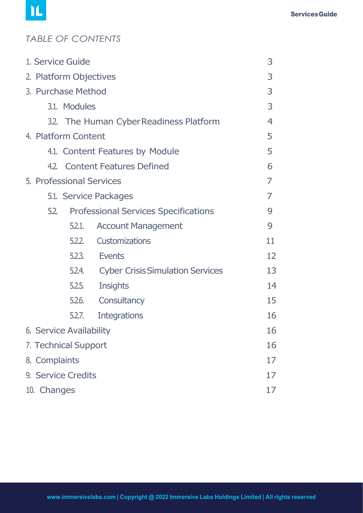# *TABLE OF CONTENTS*

|               | 1. Service Guide        |                                             | 3              |
|---------------|-------------------------|---------------------------------------------|----------------|
|               | 2. Platform Objectives  |                                             | 3              |
|               | 3. Purchase Method      |                                             | 3              |
|               | 3.1. Modules            |                                             | 3              |
|               |                         | 3.2. The Human Cyber Readiness Platform     | 4              |
|               | 4. Platform Content     |                                             | 5              |
|               |                         | 4.1. Content Features by Module             | 5              |
|               |                         | 4.2. Content Features Defined               | 6              |
|               |                         | 5. Professional Services                    | 7              |
|               |                         | 5.1. Service Packages                       | $\overline{7}$ |
| 5.2.          |                         | <b>Professional Services Specifications</b> | 9              |
|               | 5.2.1.                  | <b>Account Management</b>                   | 9              |
|               | 5.2.2.                  | <b>Customizations</b>                       | 11             |
|               | 5.2.3                   | <b>Events</b>                               | 12             |
|               | 5.2.4.                  | <b>Cyber Crisis Simulation Services</b>     | 13             |
|               | 5.2.5.                  | Insights                                    | 14             |
|               | 5.2.6.                  | Consultancy                                 | 15             |
|               | 5.2.7.                  | <b>Integrations</b>                         | 16             |
|               | 6. Service Availability |                                             | 16             |
|               | 7. Technical Support    |                                             | 16             |
| 8. Complaints |                         |                                             | 17             |
|               | 9. Service Credits      |                                             | 17             |
| 10. Changes   |                         |                                             | 17             |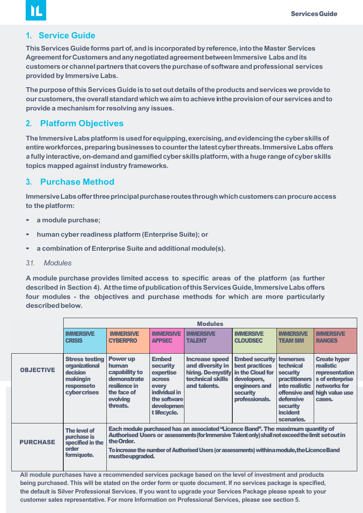## **1. Service Guide**

M

<span id="page-2-0"></span>**ThisServicesGuide formspart of,andis incorporatedby reference,intothe Master Services**  Agreement for Customers and any negotiated agreement between Immersive Labs and its **customersorchannelpartnersthatcoversthepurchaseofsoftwareandprofessional services provided by Immersive Labs.**

**ThepurposeofthisServicesGuide is tosetoutdetailsoftheproducts andservicesweprovideto ourcustomers,theoverallstandardwhichwe aimtoachievein theprovisionofour servicesandto provide a mechanism forresolving any issues.**

#### **2. Platform Objectives**

The Immersive Labs platform is used for equipping, exercising, and evidencing the cyber skills of **entireworkforces,preparingbusinessestocounterthelatestcyberthreats.ImmersiveLabsoffers a fullyinteractive,on-demandandgamifiedcyberskillsplatform,with a huge rangeofcyberskills topics mapped against industry frameworks.**

#### **3. Purchase Method**

Immersive Labs offer three principal purchase routes through which customers can procure access **to theplatform:**

- **a module purchase;**
- **human cyberreadiness platform (EnterpriseSuite); or**
- **a combination of Enterprise Suite and additional module(s).**
- *3.1. Modules*

**A module purchase provides limited access to specific areas of the platform (as further described in Section 4). AtthetimeofpublicationofthisServicesGuide,ImmersiveLabsoffers four modules - the objectives and purchase methods for which are more particularly** described below.

|                  | <b>Modules</b>                                                                                                                                                                                                                                                                                                                                                                                                                                                                                                                                                                                                                                                                                                                                                                     |                                                                                                                                                                                                                                                                                                                       |                                   |                                   |                                                                                            |                                     |                                   |
|------------------|------------------------------------------------------------------------------------------------------------------------------------------------------------------------------------------------------------------------------------------------------------------------------------------------------------------------------------------------------------------------------------------------------------------------------------------------------------------------------------------------------------------------------------------------------------------------------------------------------------------------------------------------------------------------------------------------------------------------------------------------------------------------------------|-----------------------------------------------------------------------------------------------------------------------------------------------------------------------------------------------------------------------------------------------------------------------------------------------------------------------|-----------------------------------|-----------------------------------|--------------------------------------------------------------------------------------------|-------------------------------------|-----------------------------------|
|                  | <b>IMMERSIVE</b><br><b>CRISIS</b>                                                                                                                                                                                                                                                                                                                                                                                                                                                                                                                                                                                                                                                                                                                                                  | <b>IMMERSIVE</b><br><b>CYBERPRO</b>                                                                                                                                                                                                                                                                                   | <b>IMMERSIVE</b><br><b>APPSEC</b> | <b>IMMERSIVE</b><br><b>TALENT</b> | <b>IMMERSIVE</b><br><b>CLOUDSEC</b>                                                        | <b>IMMERSIVE</b><br><b>TEAM SIM</b> | <b>IMMERSIVE</b><br><b>RANGES</b> |
| <b>OBJECTIVE</b> | <b>Embed</b><br><b>Embed security Immerses</b><br><b>Stress testing</b><br><b>Power up</b><br><b>Increase speed</b><br>and diversity in<br>best practices<br>organizational<br>human<br>technical<br><b>realistic</b><br><b>security</b><br>decision<br>in the Cloud for<br>hiring. De-mystify<br>capability to<br>expertise<br>security<br>technical skills<br>makingin<br>demonstrate<br><b>practitioners</b><br>developers,<br><b>across</b><br>resilience in<br>into realistic<br>and talents.<br>engineers and<br>responseto<br>every<br>the face of<br>individual in<br>offensive and<br>cybercrises<br><b>security</b><br>evolving<br>the software<br>professionals.<br>defensive<br>cases.<br>threats.<br>developmen<br>security<br>incident<br>t lifecycle.<br>scenarios. |                                                                                                                                                                                                                                                                                                                       |                                   |                                   | <b>Create hyper</b><br>representation<br>s of enterprise<br>networks for<br>high value use |                                     |                                   |
| <b>PURCHASE</b>  | The level of<br>purchase is<br>specified in the<br>order<br>form/quote.                                                                                                                                                                                                                                                                                                                                                                                                                                                                                                                                                                                                                                                                                                            | Each module purchased has an associated "Licence Band". The maximum quantity of<br>Authorised Users or assessments (for Immersive Talent only) shall not exceed the limit set out in<br>the Order.<br>To increase the number of Authorised Users (or assessments) withina module, the Licence Band<br>mustbeupgraded. |                                   |                                   |                                                                                            |                                     |                                   |

**All module purchases have a recommended services package based on the level of investment and products being purchased. This will be stated on the order form or quote document. If no services package is specified, the default is Silver Professional Services. If you want to upgrade your Services Package please speak to your customer sales representative. For more Information on Professional Services, please see section 5.**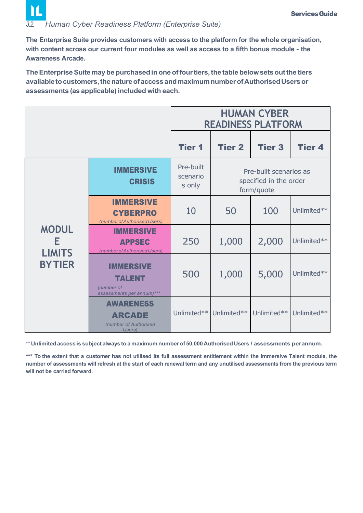# <span id="page-3-0"></span>*3.2. Human Cyber Readiness Platform (Enterprise Suite)*

M

**The Enterprise Suite provides customers with access to the platform for the whole organisation, with content across our current four modules as well as access to a fifth bonus module - the Awareness Arcade.**

**TheEnterpriseSuitemaybe purchasedin oneoffourtiers,the tablebelowsetsoutthe tiers availabletocustomers,thenatureofaccessandmaximumnumberofAuthorisedUsersor assessments (as applicable) included with each.**

|                                    | <b>HUMAN CYBER</b><br><b>READINESS PLATFORM</b>                              |                                 |               |                                                                |               |  |
|------------------------------------|------------------------------------------------------------------------------|---------------------------------|---------------|----------------------------------------------------------------|---------------|--|
|                                    |                                                                              | <b>Tier 1</b>                   | <b>Tier 2</b> | <b>Tier 3</b>                                                  | <b>Tier 4</b> |  |
|                                    | <b>IMMERSIVE</b><br><b>CRISIS</b>                                            | Pre-built<br>scenario<br>s only |               | Pre-built scenarios as<br>specified in the order<br>form/quote |               |  |
|                                    | <b>IMMERSIVE</b><br><b>CYBERPRO</b><br>(number of Authorised Users)          | 10                              | 50            | 100                                                            | Unlimited**   |  |
| <b>MODUL</b><br>E<br><b>LIMITS</b> | <b>IMMERSIVE</b><br><b>APPSEC</b><br>(number of Authorised Users)            | 250                             | 1,000         | 2,000                                                          | Unlimited**   |  |
| <b>BYTIER</b>                      | <b>IMMERSIVE</b><br><b>TALENT</b><br>(number of<br>assessments per annum)*** | 500                             | 1,000         | 5,000                                                          | Unlimited**   |  |
|                                    | <b>AWARENESS</b><br><b>ARCADE</b><br>(number of Authorised<br>Users)         | Unlimited**                     | Unlimited**   | Unlimited**                                                    | Unlimited**   |  |

**\*\*Unlimited access is subject alwaysto a maximum numberof 50,000Authorised Users / assessments perannum.**

**\*\*\* To the extent that a customer has not utilised its full assessment entitlement within the Immersive Talent module, the number of assessments will refresh at the start of each renewal term and any unutilised assessments from the previous term will not be carried forward.**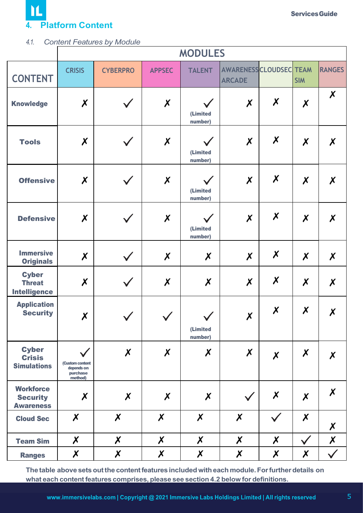

#### *4.1. Content Features by Module*

|                                                         |                                                      |                           |                           | <b>MODULES</b>                      |                                                 |                           |                           |                           |
|---------------------------------------------------------|------------------------------------------------------|---------------------------|---------------------------|-------------------------------------|-------------------------------------------------|---------------------------|---------------------------|---------------------------|
| <b>CONTENT</b>                                          | <b>CRISIS</b>                                        | <b>CYBERPRO</b>           | <b>APPSEC</b>             | <b>TALENT</b>                       | <b>AWARENESS CLOUDSEC TEAM</b><br><b>ARCADE</b> |                           | <b>SIM</b>                | <b>RANGES</b>             |
| <b>Knowledge</b>                                        | $\chi$                                               |                           | $\chi$                    | (Limited<br>number)                 | $\boldsymbol{x}$                                | $\boldsymbol{\mathsf{x}}$ | $\boldsymbol{x}$          | $\boldsymbol{X}$          |
| <b>Tools</b>                                            | $\chi$                                               |                           | $\chi$                    | $\checkmark$<br>(Limited<br>number) | $\chi$                                          | $\boldsymbol{X}$          | $\boldsymbol{\mathsf{X}}$ | $\boldsymbol{\mathsf{X}}$ |
| <b>Offensive</b>                                        | $\boldsymbol{X}$                                     |                           | $\chi$                    | $\checkmark$<br>(Limited<br>number) | $\chi$                                          | $\boldsymbol{\mathsf{x}}$ | $\boldsymbol{x}$          | $\boldsymbol{\mathsf{x}}$ |
| <b>Defensive</b>                                        | $\boldsymbol{X}$                                     |                           | $\boldsymbol{X}$          | $\checkmark$<br>(Limited<br>number) | $\chi$                                          | $\pmb{\mathsf{X}}$        | $\boldsymbol{x}$          | $\boldsymbol{\mathsf{X}}$ |
| <b>Immersive</b><br><b>Originals</b>                    | $\boldsymbol{X}$                                     |                           | $\boldsymbol{\mathsf{X}}$ | $\boldsymbol{\mathsf{x}}$           | $\boldsymbol{x}$                                | $\boldsymbol{x}$          | $\boldsymbol{\mathsf{X}}$ | $\boldsymbol{\mathsf{x}}$ |
| <b>Cyber</b><br><b>Threat</b><br><b>Intelligence</b>    | $\boldsymbol{\mathsf{x}}$                            |                           | $\boldsymbol{\mathsf{x}}$ | $\boldsymbol{x}$                    | $\boldsymbol{X}$                                | $\boldsymbol{X}$          | $\boldsymbol{\mathsf{x}}$ | $\boldsymbol{\mathsf{x}}$ |
| <b>Application</b><br><b>Security</b>                   | $\pmb{\mathsf{X}}$                                   |                           |                           | $\checkmark$<br>(Limited<br>number) | $\chi$                                          | X                         | $\boldsymbol{\mathsf{x}}$ | X                         |
| <b>Cyber</b><br><b>Crisis</b><br><b>Simulations</b>     | (Custom content<br>depends on<br>purchase<br>method) | $\boldsymbol{\mathsf{x}}$ | $\boldsymbol{\mathsf{x}}$ | $\boldsymbol{\mathsf{x}}$           | $\boldsymbol{X}$                                | $\chi$                    | $\boldsymbol{\mathsf{x}}$ | X                         |
| <b>Workforce</b><br><b>Security</b><br><b>Awareness</b> | $\boldsymbol{\mathsf{x}}$                            | $\boldsymbol{\mathsf{X}}$ | $\boldsymbol{\mathsf{x}}$ | $\boldsymbol{X}$                    |                                                 | X                         | $\boldsymbol{X}$          | $\boldsymbol{\mathsf{X}}$ |
| <b>Cloud Sec</b>                                        | $\boldsymbol{\mathsf{X}}$                            | $\boldsymbol{X}$          | $\boldsymbol{X}$          | $\boldsymbol{X}$                    | $\boldsymbol{\mathsf{X}}$                       |                           | $\boldsymbol{\mathsf{x}}$ | X                         |
| <b>Team Sim</b>                                         | $\boldsymbol{\mathsf{x}}$                            | $\boldsymbol{X}$          | $\chi$                    | $\boldsymbol{\mathsf{x}}$           | $\boldsymbol{\mathsf{X}}$                       | $\boldsymbol{\mathsf{X}}$ | $\checkmark$              | $\chi$                    |
| <b>Ranges</b>                                           | $\boldsymbol{X}$                                     | $\chi$                    | $\chi$                    | $\chi$                              | $\boldsymbol{\mathsf{X}}$                       | $\chi$                    | $\boldsymbol{\mathsf{x}}$ | $\checkmark$              |

**The table above setsoutthe contentfeatures included witheach module.Forfurtherdetails on what each contentfeatures comprises, please see section 4.2 below for definitions.**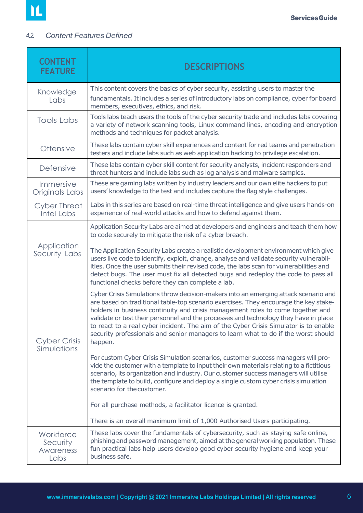## <span id="page-5-0"></span>*4.2. Content Features Defined*

| <b>CONTENT</b><br><b>FEATURE</b>           | <b>DESCRIPTIONS</b>                                                                                                                                                                                                                                                                                                                                                                                                                                                                                                                                                                                                                                                                                                                                                                                                                                                                                                                                                                                                                                                                       |
|--------------------------------------------|-------------------------------------------------------------------------------------------------------------------------------------------------------------------------------------------------------------------------------------------------------------------------------------------------------------------------------------------------------------------------------------------------------------------------------------------------------------------------------------------------------------------------------------------------------------------------------------------------------------------------------------------------------------------------------------------------------------------------------------------------------------------------------------------------------------------------------------------------------------------------------------------------------------------------------------------------------------------------------------------------------------------------------------------------------------------------------------------|
| Knowledge<br>Labs                          | This content covers the basics of cyber security, assisting users to master the<br>fundamentals. It includes a series of introductory labs on compliance, cyber for board<br>members, executives, ethics, and risk.                                                                                                                                                                                                                                                                                                                                                                                                                                                                                                                                                                                                                                                                                                                                                                                                                                                                       |
| <b>Tools Labs</b>                          | Tools labs teach users the tools of the cyber security trade and includes labs covering<br>a variety of network scanning tools, Linux command lines, encoding and encryption<br>methods and techniques for packet analysis.                                                                                                                                                                                                                                                                                                                                                                                                                                                                                                                                                                                                                                                                                                                                                                                                                                                               |
| <b>Offensive</b>                           | These labs contain cyber skill experiences and content for red teams and penetration<br>testers and include labs such as web application hacking to privilege escalation.                                                                                                                                                                                                                                                                                                                                                                                                                                                                                                                                                                                                                                                                                                                                                                                                                                                                                                                 |
| <b>Defensive</b>                           | These labs contain cyber skill content for security analysts, incident responders and<br>threat hunters and include labs such as log analysis and malware samples.                                                                                                                                                                                                                                                                                                                                                                                                                                                                                                                                                                                                                                                                                                                                                                                                                                                                                                                        |
| Immersive<br>Originals Labs                | These are gaming labs written by industry leaders and our own elite hackers to put<br>users' knowledge to the test and includes capture the flag style challenges.                                                                                                                                                                                                                                                                                                                                                                                                                                                                                                                                                                                                                                                                                                                                                                                                                                                                                                                        |
| <b>Cyber Threat</b><br><b>Intel Labs</b>   | Labs in this series are based on real-time threat intelligence and give users hands-on<br>experience of real-world attacks and how to defend against them.                                                                                                                                                                                                                                                                                                                                                                                                                                                                                                                                                                                                                                                                                                                                                                                                                                                                                                                                |
| Application<br>Security Labs               | Application Security Labs are aimed at developers and engineers and teach them how<br>to code securely to mitigate the risk of a cyber breach.<br>The Application Security Labs create a realistic development environment which give<br>users live code to identify, exploit, change, analyse and validate security vulnerabil-<br>ities. Once the user submits their revised code, the labs scan for vulnerabilities and<br>detect bugs. The user must fix all detected bugs and redeploy the code to pass all<br>functional checks before they can complete a lab.                                                                                                                                                                                                                                                                                                                                                                                                                                                                                                                     |
| <b>Cyber Crisis</b><br>Simulations         | Cyber Crisis Simulations throw decision-makers into an emerging attack scenario and<br>are based on traditional table-top scenario exercises. They encourage the key stake-<br>holders in business continuity and crisis management roles to come together and<br>validate or test their personnel and the processes and technology they have in place<br>to react to a real cyber incident. The aim of the Cyber Crisis Simulator is to enable<br>security professionals and senior managers to learn what to do if the worst should<br>happen.<br>For custom Cyber Crisis Simulation scenarios, customer success managers will pro-<br>vide the customer with a template to input their own materials relating to a fictitious<br>scenario, its organization and industry. Our customer success managers will utilise<br>the template to build, configure and deploy a single custom cyber crisis simulation<br>scenario for the customer.<br>For all purchase methods, a facilitator licence is granted.<br>There is an overall maximum limit of 1,000 Authorised Users participating. |
| Workforce<br>Security<br>Awareness<br>Labs | These labs cover the fundamentals of cybersecurity, such as staying safe online,<br>phishing and password management, aimed at the general working population. These<br>fun practical labs help users develop good cyber security hygiene and keep your<br>business safe.                                                                                                                                                                                                                                                                                                                                                                                                                                                                                                                                                                                                                                                                                                                                                                                                                 |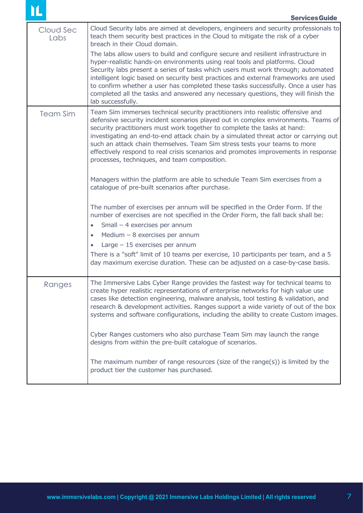| Cloud Sec<br>Labs | Cloud Security labs are aimed at developers, engineers and security professionals to<br>teach them security best practices in the Cloud to mitigate the risk of a cyber<br>breach in their Cloud domain.                                                                                                                                                                                                                                                                                                                                                     |
|-------------------|--------------------------------------------------------------------------------------------------------------------------------------------------------------------------------------------------------------------------------------------------------------------------------------------------------------------------------------------------------------------------------------------------------------------------------------------------------------------------------------------------------------------------------------------------------------|
|                   | The labs allow users to build and configure secure and resilient infrastructure in<br>hyper-realistic hands-on environments using real tools and platforms. Cloud<br>Security labs present a series of tasks which users must work through; automated<br>intelligent logic based on security best practices and external frameworks are used<br>to confirm whether a user has completed these tasks successfully. Once a user has<br>completed all the tasks and answered any necessary questions, they will finish the<br>lab successfully.                 |
| <b>Team Sim</b>   | Team Sim immerses technical security practitioners into realistic offensive and<br>defensive security incident scenarios played out in complex environments. Teams of<br>security practitioners must work together to complete the tasks at hand:<br>investigating an end-to-end attack chain by a simulated threat actor or carrying out<br>such an attack chain themselves. Team Sim stress tests your teams to more<br>effectively respond to real crisis scenarios and promotes improvements in response<br>processes, techniques, and team composition. |
|                   | Managers within the platform are able to schedule Team Sim exercises from a<br>catalogue of pre-built scenarios after purchase.                                                                                                                                                                                                                                                                                                                                                                                                                              |
|                   | The number of exercises per annum will be specified in the Order Form. If the<br>number of exercises are not specified in the Order Form, the fall back shall be:                                                                                                                                                                                                                                                                                                                                                                                            |
|                   | Small - 4 exercises per annum                                                                                                                                                                                                                                                                                                                                                                                                                                                                                                                                |
|                   | Medium $-8$ exercises per annum<br>$\bullet$                                                                                                                                                                                                                                                                                                                                                                                                                                                                                                                 |
|                   | Large $-15$ exercises per annum<br>$\bullet$                                                                                                                                                                                                                                                                                                                                                                                                                                                                                                                 |
|                   | There is a "soft" limit of 10 teams per exercise, 10 participants per team, and a 5<br>day maximum exercise duration. These can be adjusted on a case-by-case basis.                                                                                                                                                                                                                                                                                                                                                                                         |
| Ranges            | The Immersive Labs Cyber Range provides the fastest way for technical teams to<br>create hyper realistic representations of enterprise networks for high value use<br>cases like detection engineering, malware analysis, tool testing & validation, and<br>research & development activities. Ranges support a wide variety of out of the box<br>systems and software configurations, including the ability to create Custom images.                                                                                                                        |
|                   | Cyber Ranges customers who also purchase Team Sim may launch the range<br>designs from within the pre-built catalogue of scenarios.                                                                                                                                                                                                                                                                                                                                                                                                                          |
|                   | The maximum number of range resources (size of the range(s)) is limited by the<br>product tier the customer has purchased.                                                                                                                                                                                                                                                                                                                                                                                                                                   |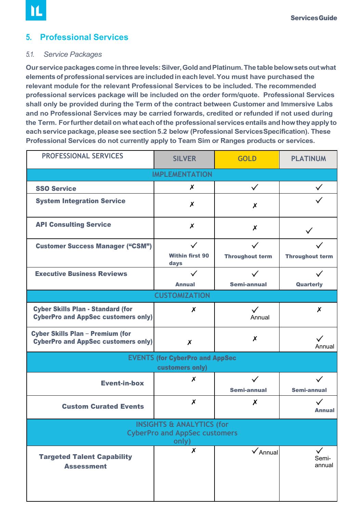# <span id="page-7-0"></span>**5. Professional Services**

#### *5.1. Service Packages*

Our service packages come in three levels: Silver, Gold and Platinum. The table below sets out what **elementsofprofessionalservices are includedin eachlevel.You must have purchased the relevant module for the relevant Professional Services to be included. The recommended professional services package will be included on the order form/quote. Professional Services shall only be provided during the Term of the contract between Customer and Immersive Labs and no Professional Services may be carried forwards, credited or refunded if not used during the Term. Forfurtherdetailon what eachofthe professional services entails andhowtheyapply to eachservicepackage,please see section5.2 below (Professional ServicesSpecification). These Professional Services do not currently apply to Team Sim or Ranges products or services.** 

| <b>PROFESSIONAL SERVICES</b>                                                           | <b>SILVER</b>                  | <b>GOLD</b>              | <b>PLATINUM</b>                 |  |  |
|----------------------------------------------------------------------------------------|--------------------------------|--------------------------|---------------------------------|--|--|
|                                                                                        | <b>IMPLEMENTATION</b>          |                          |                                 |  |  |
| <b>SSO Service</b>                                                                     | X                              | $\checkmark$             | $\checkmark$                    |  |  |
| <b>System Integration Service</b>                                                      | X                              | X                        |                                 |  |  |
| <b>API Consulting Service</b>                                                          | $\boldsymbol{x}$               | $\boldsymbol{x}$         |                                 |  |  |
| <b>Customer Success Manager ("CSM")</b>                                                | $\checkmark$                   | $\checkmark$             |                                 |  |  |
|                                                                                        | <b>Within first 90</b><br>days | <b>Throughout term</b>   | <b>Throughout term</b>          |  |  |
| <b>Executive Business Reviews</b>                                                      | $\checkmark$                   | $\checkmark$             | $\checkmark$                    |  |  |
|                                                                                        | <b>Annual</b>                  | Semi-annual              | Quarterly                       |  |  |
| <b>CUSTOMIZATION</b>                                                                   |                                |                          |                                 |  |  |
| <b>Cyber Skills Plan - Standard (for</b><br><b>CyberPro and AppSec customers only)</b> | X                              | $\checkmark$<br>Annual   | X                               |  |  |
| <b>Cyber Skills Plan - Premium (for</b><br><b>CyberPro and AppSec customers only)</b>  | $\boldsymbol{x}$               | Х                        | Annual                          |  |  |
| <b>EVENTS (for CyberPro and AppSec</b><br>customers only)                              |                                |                          |                                 |  |  |
| <b>Event-in-box</b>                                                                    | X                              | $\checkmark$             | $\checkmark$                    |  |  |
|                                                                                        |                                | Semi-annual              | Semi-annual                     |  |  |
| <b>Custom Curated Events</b>                                                           | X                              | $\boldsymbol{x}$         | $\checkmark$<br><b>Annual</b>   |  |  |
| <b>INSIGHTS &amp; ANALYTICS (for</b><br><b>CyberPro and AppSec customers</b><br>only)  |                                |                          |                                 |  |  |
| <b>Targeted Talent Capability</b><br><b>Assessment</b>                                 | $\pmb{\mathsf{x}}$             | $\sqrt{\mathsf{Annual}}$ | $\checkmark$<br>Semi-<br>annual |  |  |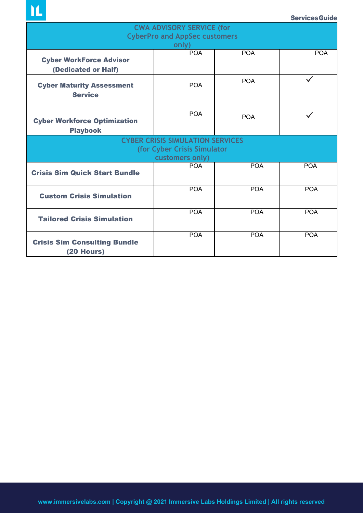**IL** 

| <b>CWA ADVISORY SERVICE (for</b>                                                          |                                               |            |            |  |  |
|-------------------------------------------------------------------------------------------|-----------------------------------------------|------------|------------|--|--|
|                                                                                           | <b>CyberPro and AppSec customers</b><br>only) |            |            |  |  |
| <b>Cyber WorkForce Advisor</b><br>(Dedicated or Half)                                     | <b>POA</b>                                    | <b>POA</b> | <b>POA</b> |  |  |
| <b>Cyber Maturity Assessment</b><br><b>Service</b>                                        | <b>POA</b>                                    | <b>POA</b> |            |  |  |
| <b>Cyber Workforce Optimization</b><br><b>Playbook</b>                                    | <b>POA</b>                                    | <b>POA</b> |            |  |  |
| <b>CYBER CRISIS SIMULATION SERVICES</b><br>(for Cyber Crisis Simulator<br>customers only) |                                               |            |            |  |  |
| <b>Crisis Sim Quick Start Bundle</b>                                                      | <b>POA</b>                                    | <b>POA</b> | <b>POA</b> |  |  |
| <b>Custom Crisis Simulation</b>                                                           | <b>POA</b>                                    | <b>POA</b> | <b>POA</b> |  |  |
| <b>Tailored Crisis Simulation</b>                                                         | <b>POA</b>                                    | <b>POA</b> | <b>POA</b> |  |  |
| <b>Crisis Sim Consulting Bundle</b><br>(20 Hours)                                         | <b>POA</b>                                    | <b>POA</b> | <b>POA</b> |  |  |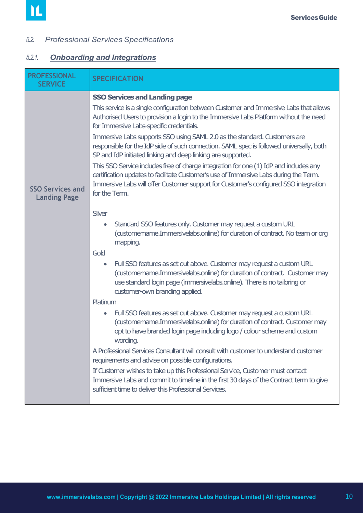#### <span id="page-9-0"></span>*5.2. Professional Services Specifications*

# *5.2.1. Onboarding and Integrations*

| <b>PROFESSIONAL</b><br><b>SERVICE</b>          | <b>SPECIFICATION</b>                                                                                                                                                                                                                                                                                                                                                                                                                                                                                                                                                                                                                                                                                                                                                                                                                                                                                                                                                                                                                                                          |
|------------------------------------------------|-------------------------------------------------------------------------------------------------------------------------------------------------------------------------------------------------------------------------------------------------------------------------------------------------------------------------------------------------------------------------------------------------------------------------------------------------------------------------------------------------------------------------------------------------------------------------------------------------------------------------------------------------------------------------------------------------------------------------------------------------------------------------------------------------------------------------------------------------------------------------------------------------------------------------------------------------------------------------------------------------------------------------------------------------------------------------------|
| <b>SSO Services and</b><br><b>Landing Page</b> | <b>SSO Services and Landing page</b><br>This service is a single configuration between Customer and Immersive Labs that allows<br>Authorised Users to provision a login to the Immersive Labs Platform without the need<br>for Immersive Labs-specific credentials.<br>Immersive Labs supports SSO using SAML 2.0 as the standard. Customers are<br>responsible for the IdP side of such connection. SAML spec is followed universally, both<br>SP and IdP initiated linking and deep linking are supported.<br>This SSO Service indudes free of charge integration for one (1) IdP and indudes any<br>certification updates to facilitate Customer's use of Immersive Labs during the Term.<br>Immersive Labs will offer Customer support for Customer's configured SSO integration<br>for the Term.                                                                                                                                                                                                                                                                         |
|                                                | Silver<br>Standard SSO features only. Customer may request a custom URL<br>$\bullet$<br>(customername.Immersivelabs.online) for duration of contract. No team or org<br>mapping.<br>Gold<br>Full SSO features as set out above. Customer may request a custom URL<br>$\bullet$<br>(austomername.Immersivelabs.online) for duration of contract. Customer may<br>use standard login page (immersivelabs.online). There is no tailoring or<br>customer-own branding applied.<br>Platinum<br>Full SSO features as set out above. Customer may request a custom URL<br>$\bullet$<br>(austomername.Immersivelabs.online) for duration of contract. Customer may<br>opt to have branded login page induding logo / colour scheme and custom<br>wording.<br>A Professional Services Consultant will consult with customer to understand customer<br>requirements and advise on possible configurations.<br>If Customer wishes to take up this Professional Service, Customer must contact<br>Immersive Labs and commit to timeline in the first 30 days of the Contract term to give |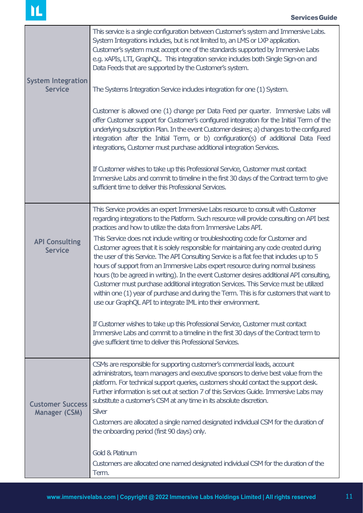| <b>System Integration</b><br><b>Service</b>     | This service is a single configuration between Customer's system and Immersive Labs.<br>System Integrations indudes, but is not limited to, an LMS or LXP application.<br>Customer's system must accept one of the standards supported by Immersive Labs<br>e.g. xAPIs, LTI, GraphQL. This integration service indudes both Single Sign-on and<br>Data Feeds that are supported by the Customer's system.<br>The Systems Integration Service indudes integration for one (1) System.<br>Customer is allowed one (1) change per Data Feed per quarter. Immersive Labs will<br>offer Customer support for Customer's configured integration for the Initial Term of the<br>underlying subscription Plan. In the event Customer desires; a) changes to the configured<br>integration after the Initial Term, or b) configuration(s) of additional Data Feed<br>integrations, Customer must purchase additional integration Services.<br>If Customer wishes to take up this Professional Service, Customer must contact<br>Immersive Labs and commit to timeline in the first 30 days of the Contract term to give<br>sufficient time to deliver this Professional Services.                          |
|-------------------------------------------------|---------------------------------------------------------------------------------------------------------------------------------------------------------------------------------------------------------------------------------------------------------------------------------------------------------------------------------------------------------------------------------------------------------------------------------------------------------------------------------------------------------------------------------------------------------------------------------------------------------------------------------------------------------------------------------------------------------------------------------------------------------------------------------------------------------------------------------------------------------------------------------------------------------------------------------------------------------------------------------------------------------------------------------------------------------------------------------------------------------------------------------------------------------------------------------------------------|
| <b>API Consulting</b><br><b>Service</b>         | This Service provides an expert Immersive Labs resource to consult with Customer<br>regarding integrations to the Platform. Such resource will provide consulting on API best<br>practices and how to utilize the data from Immersive Labs API.<br>This Service does not include writing or troubleshooting code for Customer and<br>Customer agrees that it is solely responsible for maintaining any code created during<br>the user of this Service. The API Consulting Service is a flat fee that indudes up to 5<br>hours of support from an Immersive Labs expert resource during normal business<br>hours (to be agreed in writing). In the event Customer desires additional API consulting,<br>Customer must purchase additional integration Services. This Service must be utilized<br>within one (1) year of purchase and during the Term. This is for customers that want to<br>use our GraphQL API to integrate IML into their environment.<br>If Customer wishes to take up this Professional Service, Customer must contact<br>Immersive Labs and commit to a timeline in the first 30 days of the Contract term to<br>give sufficient time to deliver this Professional Services. |
| <b>Customer Success</b><br><b>Manager (CSM)</b> | CSMs are responsible for supporting customer's commercial leads, account<br>administrators, team managers and executive sponsors to derive best value from the<br>platform. For technical support queries, customers should contact the support desk.<br>Further information is set out at section 7 of this Services Guide. Immersive Labs may<br>substitute a customer's CSM at any time in its absolute discretion.<br><b>Silver</b><br>Customers are allocated a single named designated individual CSM for the duration of<br>the onboarding period (first 90 days) only.<br><b>Gold &amp; Platinum</b><br>Customers are allocated one named designated individual CSM for the duration of the<br>Term.                                                                                                                                                                                                                                                                                                                                                                                                                                                                                      |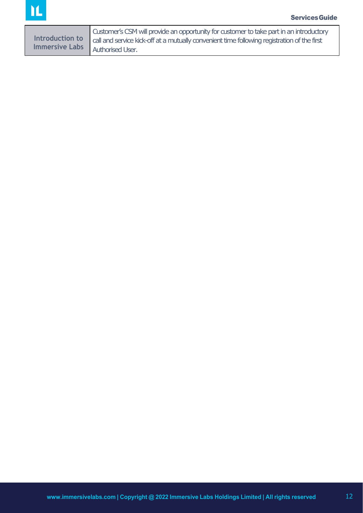| Customer's CSM will provide an opportunity for customer to take part in an introductory                     |
|-------------------------------------------------------------------------------------------------------------|
| Introduction to call and service kick-off at a mutually convenient time following registration of the first |
| Immersive Labs   Authorised User.                                                                           |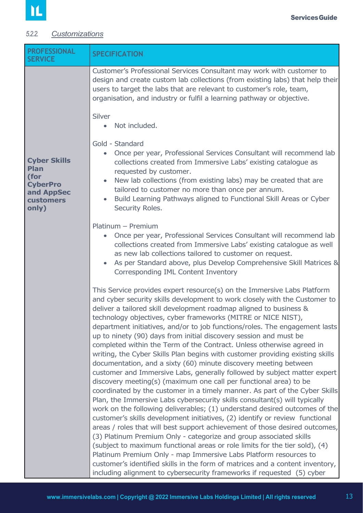## <span id="page-12-0"></span>*5.2.2. Customizations*

| <b>PROFESSIONAL</b><br><b>SERVICE</b>                                                                    | <b>SPECIFICATION</b>                                                                                                                                                                                                                                                                                                                                                                                                                                                                                                                                                                                                                                                                                                                                                                                                                                                                                                                                                                                                                                                                                                                                                                                                                                                                                                                                                                                                                                                                                                                                                                                                          |  |  |
|----------------------------------------------------------------------------------------------------------|-------------------------------------------------------------------------------------------------------------------------------------------------------------------------------------------------------------------------------------------------------------------------------------------------------------------------------------------------------------------------------------------------------------------------------------------------------------------------------------------------------------------------------------------------------------------------------------------------------------------------------------------------------------------------------------------------------------------------------------------------------------------------------------------------------------------------------------------------------------------------------------------------------------------------------------------------------------------------------------------------------------------------------------------------------------------------------------------------------------------------------------------------------------------------------------------------------------------------------------------------------------------------------------------------------------------------------------------------------------------------------------------------------------------------------------------------------------------------------------------------------------------------------------------------------------------------------------------------------------------------------|--|--|
|                                                                                                          | Customer's Professional Services Consultant may work with customer to<br>design and create custom lab collections (from existing labs) that help their<br>users to target the labs that are relevant to customer's role, team,<br>organisation, and industry or fulfil a learning pathway or objective.                                                                                                                                                                                                                                                                                                                                                                                                                                                                                                                                                                                                                                                                                                                                                                                                                                                                                                                                                                                                                                                                                                                                                                                                                                                                                                                       |  |  |
|                                                                                                          | Silver<br>Not included.<br>$\bullet$                                                                                                                                                                                                                                                                                                                                                                                                                                                                                                                                                                                                                                                                                                                                                                                                                                                                                                                                                                                                                                                                                                                                                                                                                                                                                                                                                                                                                                                                                                                                                                                          |  |  |
| <b>Cyber Skills</b><br><b>Plan</b><br>(for<br><b>CyberPro</b><br>and AppSec<br><b>customers</b><br>only) | Gold - Standard<br>Once per year, Professional Services Consultant will recommend lab<br>$\bullet$<br>collections created from Immersive Labs' existing catalogue as<br>requested by customer.<br>New lab collections (from existing labs) may be created that are<br>$\bullet$<br>tailored to customer no more than once per annum.<br>Build Learning Pathways aligned to Functional Skill Areas or Cyber<br>$\bullet$<br>Security Roles.                                                                                                                                                                                                                                                                                                                                                                                                                                                                                                                                                                                                                                                                                                                                                                                                                                                                                                                                                                                                                                                                                                                                                                                    |  |  |
|                                                                                                          | Platinum - Premium<br>• Once per year, Professional Services Consultant will recommend lab<br>collections created from Immersive Labs' existing catalogue as well<br>as new lab collections tailored to customer on request.<br>As per Standard above, plus Develop Comprehensive Skill Matrices &<br>$\bullet$<br>Corresponding IML Content Inventory                                                                                                                                                                                                                                                                                                                                                                                                                                                                                                                                                                                                                                                                                                                                                                                                                                                                                                                                                                                                                                                                                                                                                                                                                                                                        |  |  |
|                                                                                                          | This Service provides expert resource(s) on the Immersive Labs Platform<br>and cyber security skills development to work closely with the Customer to<br>deliver a tailored skill development roadmap aligned to business &<br>technology objectives, cyber frameworks (MITRE or NICE NIST),<br>department initiatives, and/or to job functions/roles. The engagement lasts<br>up to ninety (90) days from initial discovery session and must be<br>completed within the Term of the Contract. Unless otherwise agreed in<br>writing, the Cyber Skills Plan begins with customer providing existing skills<br>documentation, and a sixty (60) minute discovery meeting between<br>customer and Immersive Labs, generally followed by subject matter expert<br>discovery meeting(s) (maximum one call per functional area) to be<br>coordinated by the customer in a timely manner. As part of the Cyber Skills<br>Plan, the Immersive Labs cybersecurity skills consultant(s) will typically<br>work on the following deliverables; (1) understand desired outcomes of the<br>customer's skills development initiatives, (2) identify or review functional<br>areas / roles that will best support achievement of those desired outcomes,<br>(3) Platinum Premium Only - categorize and group associated skills<br>(subject to maximum functional areas or role limits for the tier sold), (4)<br>Platinum Premium Only - map Immersive Labs Platform resources to<br>customer's identified skills in the form of matrices and a content inventory,<br>including alignment to cybersecurity frameworks if requested (5) cyber |  |  |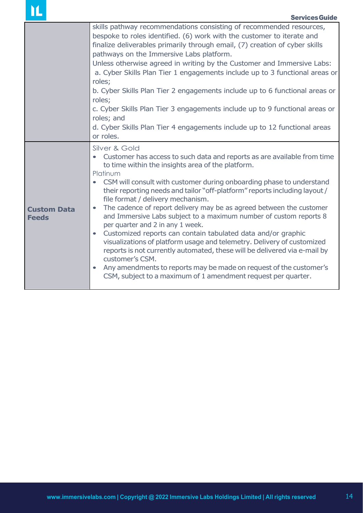| ▁▁                                 | <b>Services Guide</b>                                                                                                                                                                                                                                                                                                                                                                                                                                                                                                                                                                                                                                                                                                                                                                                                                                                                                                                                          |
|------------------------------------|----------------------------------------------------------------------------------------------------------------------------------------------------------------------------------------------------------------------------------------------------------------------------------------------------------------------------------------------------------------------------------------------------------------------------------------------------------------------------------------------------------------------------------------------------------------------------------------------------------------------------------------------------------------------------------------------------------------------------------------------------------------------------------------------------------------------------------------------------------------------------------------------------------------------------------------------------------------|
|                                    | skills pathway recommendations consisting of recommended resources,<br>bespoke to roles identified. (6) work with the customer to iterate and<br>finalize deliverables primarily through email, (7) creation of cyber skills<br>pathways on the Immersive Labs platform.<br>Unless otherwise agreed in writing by the Customer and Immersive Labs:<br>a. Cyber Skills Plan Tier 1 engagements include up to 3 functional areas or<br>roles;<br>b. Cyber Skills Plan Tier 2 engagements include up to 6 functional areas or<br>roles;<br>c. Cyber Skills Plan Tier 3 engagements include up to 9 functional areas or<br>roles; and<br>d. Cyber Skills Plan Tier 4 engagements include up to 12 functional areas<br>or roles.                                                                                                                                                                                                                                    |
| <b>Custom Data</b><br><b>Feeds</b> | Silver & Gold<br>Customer has access to such data and reports as are available from time<br>to time within the insights area of the platform.<br>Platinum<br>CSM will consult with customer during onboarding phase to understand<br>their reporting needs and tailor "off-platform" reports including layout /<br>file format / delivery mechanism.<br>The cadence of report delivery may be as agreed between the customer<br>$\bullet$<br>and Immersive Labs subject to a maximum number of custom reports 8<br>per quarter and 2 in any 1 week.<br>Customized reports can contain tabulated data and/or graphic<br>$\bullet$<br>visualizations of platform usage and telemetry. Delivery of customized<br>reports is not currently automated, these will be delivered via e-mail by<br>customer's CSM.<br>Any amendments to reports may be made on request of the customer's<br>$\bullet$<br>CSM, subject to a maximum of 1 amendment request per quarter. |

 $\mathbf{M}$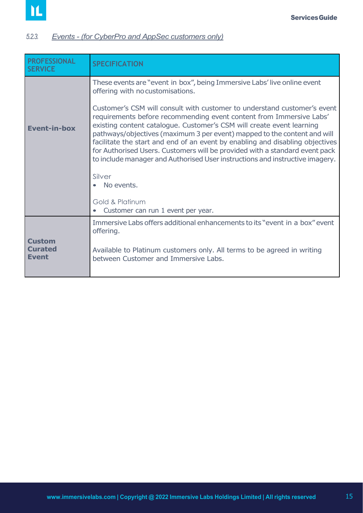## <span id="page-14-0"></span>*5.2.3. Events - (for CyberPro and AppSec customers only)*

| <b>PROFESSIONAL</b><br><b>SERVICE</b>           | <b>SPECIFICATION</b>                                                                                                                                                                                                                                                                                                                                                                                                                                                                                                                                           |  |
|-------------------------------------------------|----------------------------------------------------------------------------------------------------------------------------------------------------------------------------------------------------------------------------------------------------------------------------------------------------------------------------------------------------------------------------------------------------------------------------------------------------------------------------------------------------------------------------------------------------------------|--|
|                                                 | These events are "event in box", being Immersive Labs' live online event<br>offering with no customisations.                                                                                                                                                                                                                                                                                                                                                                                                                                                   |  |
| <b>Event-in-box</b>                             | Customer's CSM will consult with customer to understand customer's event<br>requirements before recommending event content from Immersive Labs'<br>existing content catalogue. Customer's CSM will create event learning<br>pathways/objectives (maximum 3 per event) mapped to the content and will<br>facilitate the start and end of an event by enabling and disabling objectives<br>for Authorised Users. Customers will be provided with a standard event pack<br>to include manager and Authorised User instructions and instructive imagery.<br>Silver |  |
|                                                 | No events.<br>Gold & Platinum<br>Customer can run 1 event per year.                                                                                                                                                                                                                                                                                                                                                                                                                                                                                            |  |
|                                                 | Immersive Labs offers additional enhancements to its "event in a box" event<br>offering.                                                                                                                                                                                                                                                                                                                                                                                                                                                                       |  |
| <b>Custom</b><br><b>Curated</b><br><b>Event</b> | Available to Platinum customers only. All terms to be agreed in writing<br>between Customer and Immersive Labs.                                                                                                                                                                                                                                                                                                                                                                                                                                                |  |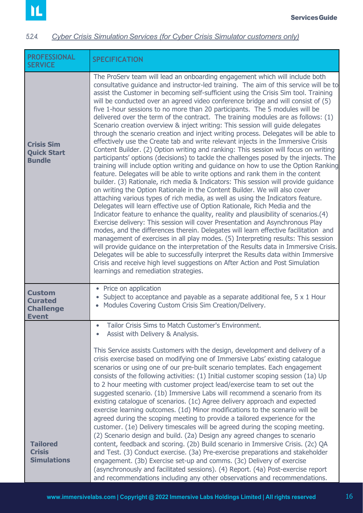#### <span id="page-15-0"></span>**5.2.4.** *Cyber Crisis Simulation Services (for Cyber Crisis Simulator customers only)*

| <b>PROFESSIONAL</b><br><b>SERVICE</b>                               | <b>SPECIFICATION</b>                                                                                                                                                                                                                                                                                                                                                                                                                                                                                                                                                                                                                                                                                                                                                                                                                                                                                                                                                                                                                                                                                                                                                                                                                                                                                                                                                                                                                                                                                                                                                                                                                                                                                                                                                                                                                                                                                                                                                                                                                                                                                                                        |  |  |
|---------------------------------------------------------------------|---------------------------------------------------------------------------------------------------------------------------------------------------------------------------------------------------------------------------------------------------------------------------------------------------------------------------------------------------------------------------------------------------------------------------------------------------------------------------------------------------------------------------------------------------------------------------------------------------------------------------------------------------------------------------------------------------------------------------------------------------------------------------------------------------------------------------------------------------------------------------------------------------------------------------------------------------------------------------------------------------------------------------------------------------------------------------------------------------------------------------------------------------------------------------------------------------------------------------------------------------------------------------------------------------------------------------------------------------------------------------------------------------------------------------------------------------------------------------------------------------------------------------------------------------------------------------------------------------------------------------------------------------------------------------------------------------------------------------------------------------------------------------------------------------------------------------------------------------------------------------------------------------------------------------------------------------------------------------------------------------------------------------------------------------------------------------------------------------------------------------------------------|--|--|
| <b>Crisis Sim</b><br><b>Quick Start</b><br><b>Bundle</b>            | The ProServ team will lead an onboarding engagement which will include both<br>consultative guidance and instructor-led training. The aim of this service will be to<br>assist the Customer in becoming self-sufficient using the Crisis Sim tool. Training<br>will be conducted over an agreed video conference bridge and will consist of (5)<br>five 1-hour sessions to no more than 20 participants. The 5 modules will be<br>delivered over the term of the contract. The training modules are as follows: $(1)$<br>Scenario creation overview & inject writing: This session will guide delegates<br>through the scenario creation and inject writing process. Delegates will be able to<br>effectively use the Create tab and write relevant injects in the Immersive Crisis<br>Content Builder. (2) Option writing and ranking: This session will focus on writing<br>participants' options (decisions) to tackle the challenges posed by the injects. The<br>training will include option writing and guidance on how to use the Option Ranking<br>feature. Delegates will be able to write options and rank them in the content<br>builder. (3) Rationale, rich media & Indicators: This session will provide guidance<br>on writing the Option Rationale in the Content Builder. We will also cover<br>attaching various types of rich media, as well as using the Indicators feature.<br>Delegates will learn effective use of Option Rationale, Rich Media and the<br>Indicator feature to enhance the quality, reality and plausibility of scenarios.(4)<br>Exercise delivery: This session will cover Presentation and Asynchronous Play<br>modes, and the differences therein. Delegates will learn effective facilitation and<br>management of exercises in all play modes. (5) Interpreting results: This session<br>will provide guidance on the interpretation of the Results data in Immersive Crisis.<br>Delegates will be able to successfully interpret the Results data within Immersive<br>Crisis and receive high level suggestions on After Action and Post Simulation<br>learnings and remediation strategies. |  |  |
| <b>Custom</b><br><b>Curated</b><br><b>Challenge</b><br><b>Event</b> | • Price on application<br>Subject to acceptance and payable as a separate additional fee, 5 x 1 Hour<br>Modules Covering Custom Crisis Sim Creation/Delivery.                                                                                                                                                                                                                                                                                                                                                                                                                                                                                                                                                                                                                                                                                                                                                                                                                                                                                                                                                                                                                                                                                                                                                                                                                                                                                                                                                                                                                                                                                                                                                                                                                                                                                                                                                                                                                                                                                                                                                                               |  |  |
|                                                                     | Tailor Crisis Sims to Match Customer's Environment.<br>Assist with Delivery & Analysis.<br>This Service assists Customers with the design, development and delivery of a                                                                                                                                                                                                                                                                                                                                                                                                                                                                                                                                                                                                                                                                                                                                                                                                                                                                                                                                                                                                                                                                                                                                                                                                                                                                                                                                                                                                                                                                                                                                                                                                                                                                                                                                                                                                                                                                                                                                                                    |  |  |
| <b>Tailored</b><br><b>Crisis</b><br><b>Simulations</b>              | crisis exercise based on modifying one of Immersive Labs' existing catalogue<br>scenarios or using one of our pre-built scenario templates. Each engagement<br>consists of the following activities: (1) Initial customer scoping session (1a) Up<br>to 2 hour meeting with customer project lead/exercise team to set out the<br>suggested scenario. (1b) Immersive Labs will recommend a scenario from its<br>existing catalogue of scenarios. (1c) Agree delivery approach and expected<br>exercise learning outcomes. (1d) Minor modifications to the scenario will be<br>agreed during the scoping meeting to provide a tailored experience for the<br>customer. (1e) Delivery timescales will be agreed during the scoping meeting.<br>(2) Scenario design and build. (2a) Design any agreed changes to scenario<br>content, feedback and scoring. (2b) Build scenario in Immersive Crisis. (2c) QA<br>and Test. (3) Conduct exercise. (3a) Pre-exercise preparations and stakeholder<br>engagement. (3b) Exercise set-up and comms. (3c) Delivery of exercise<br>(asynchronously and facilitated sessions). (4) Report. (4a) Post-exercise report<br>and recommendations including any other observations and recommendations.                                                                                                                                                                                                                                                                                                                                                                                                                                                                                                                                                                                                                                                                                                                                                                                                                                                                                                       |  |  |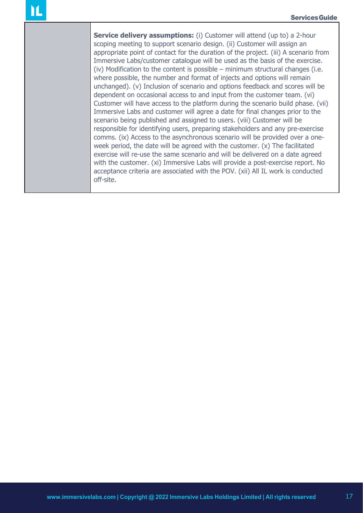**Service delivery assumptions:** (i) Customer will attend (up to) a 2-hour scoping meeting to support scenario design. (ii) Customer will assign an appropriate point of contact for the duration of the project. (iii) A scenario from Immersive Labs/customer catalogue will be used as the basis of the exercise. (iv) Modification to the content is possible – minimum structural changes (i.e. where possible, the number and format of injects and options will remain unchanged). (v) Inclusion of scenario and options feedback and scores will be dependent on occasional access to and input from the customer team. (vi) Customer will have access to the platform during the scenario build phase. (vii) Immersive Labs and customer will agree a date for final changes prior to the scenario being published and assigned to users. (viii) Customer will be responsible for identifying users, preparing stakeholders and any pre-exercise comms. (ix) Access to the asynchronous scenario will be provided over a oneweek period, the date will be agreed with the customer. (x) The facilitated exercise will re-use the same scenario and will be delivered on a date agreed with the customer. (xi) Immersive Labs will provide a post-exercise report. No acceptance criteria are associated with the POV. (xii) All IL work is conducted off-site.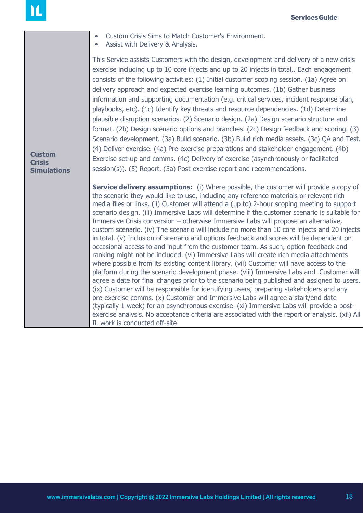|                                                      | Custom Crisis Sims to Match Customer's Environment.<br>$\bullet$<br>Assist with Delivery & Analysis.                                                                                                                                                                                                                                                                                                                                                                                                                                                                                                                                                                                                                                                                                                                                                                                                                                                                                                                                                                                                                                                                                                                                                                                                                                                                                                                                                                                                                                                           |
|------------------------------------------------------|----------------------------------------------------------------------------------------------------------------------------------------------------------------------------------------------------------------------------------------------------------------------------------------------------------------------------------------------------------------------------------------------------------------------------------------------------------------------------------------------------------------------------------------------------------------------------------------------------------------------------------------------------------------------------------------------------------------------------------------------------------------------------------------------------------------------------------------------------------------------------------------------------------------------------------------------------------------------------------------------------------------------------------------------------------------------------------------------------------------------------------------------------------------------------------------------------------------------------------------------------------------------------------------------------------------------------------------------------------------------------------------------------------------------------------------------------------------------------------------------------------------------------------------------------------------|
| <b>Custom</b><br><b>Crisis</b><br><b>Simulations</b> | This Service assists Customers with the design, development and delivery of a new crisis<br>exercise including up to 10 core injects and up to 20 injects in total Each engagement<br>consists of the following activities: (1) Initial customer scoping session. (1a) Agree on<br>delivery approach and expected exercise learning outcomes. (1b) Gather business<br>information and supporting documentation (e.g. critical services, incident response plan,<br>playbooks, etc). (1c) Identify key threats and resource dependencies. (1d) Determine<br>plausible disruption scenarios. (2) Scenario design. (2a) Design scenario structure and<br>format. (2b) Design scenario options and branches. (2c) Design feedback and scoring. (3)<br>Scenario development. (3a) Build scenario. (3b) Build rich media assets. (3c) QA and Test.<br>(4) Deliver exercise. (4a) Pre-exercise preparations and stakeholder engagement. (4b)<br>Exercise set-up and comms. (4c) Delivery of exercise (asynchronously or facilitated<br>session(s)). (5) Report. (5a) Post-exercise report and recommendations.                                                                                                                                                                                                                                                                                                                                                                                                                                                        |
|                                                      | <b>Service delivery assumptions:</b> (i) Where possible, the customer will provide a copy of<br>the scenario they would like to use, including any reference materials or relevant rich<br>media files or links. (ii) Customer will attend a (up to) 2-hour scoping meeting to support<br>scenario design. (iii) Immersive Labs will determine if the customer scenario is suitable for<br>Immersive Crisis conversion - otherwise Immersive Labs will propose an alternative,<br>custom scenario. (iv) The scenario will include no more than 10 core injects and 20 injects<br>in total. (v) Inclusion of scenario and options feedback and scores will be dependent on<br>occasional access to and input from the customer team. As such, option feedback and<br>ranking might not be included. (vi) Immersive Labs will create rich media attachments<br>where possible from its existing content library. (vii) Customer will have access to the<br>platform during the scenario development phase. (viii) Immersive Labs and Customer will<br>agree a date for final changes prior to the scenario being published and assigned to users.<br>(ix) Customer will be responsible for identifying users, preparing stakeholders and any<br>pre-exercise comms. (x) Customer and Immersive Labs will agree a start/end date<br>(typically 1 week) for an asynchronous exercise. (xi) Immersive Labs will provide a post-<br>exercise analysis. No acceptance criteria are associated with the report or analysis. (xii) All<br>IL work is conducted off-site |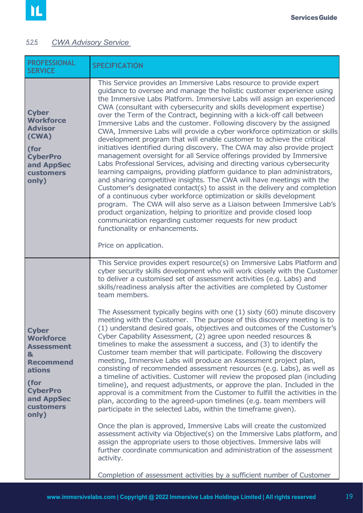#### <span id="page-18-1"></span><span id="page-18-0"></span>*5.2.5. CWA Advisory Service*

| <b>PROFESSIONAL</b><br><b>SERVICE</b>                                                                                                                   | <b>SPECIFICATION</b>                                                                                                                                                                                                                                                                                                                                                                                                                                                                                                                                                                                                                                                                                                                                                                                                                                                                                                                                                                                                                                                                                                                                                                                                                                                                                                                                                                                                 |
|---------------------------------------------------------------------------------------------------------------------------------------------------------|----------------------------------------------------------------------------------------------------------------------------------------------------------------------------------------------------------------------------------------------------------------------------------------------------------------------------------------------------------------------------------------------------------------------------------------------------------------------------------------------------------------------------------------------------------------------------------------------------------------------------------------------------------------------------------------------------------------------------------------------------------------------------------------------------------------------------------------------------------------------------------------------------------------------------------------------------------------------------------------------------------------------------------------------------------------------------------------------------------------------------------------------------------------------------------------------------------------------------------------------------------------------------------------------------------------------------------------------------------------------------------------------------------------------|
| <b>Cyber</b><br><b>Workforce</b><br><b>Advisor</b><br>(CWA)<br>(for<br><b>CyberPro</b><br>and AppSec<br>customers<br>only)                              | This Service provides an Immersive Labs resource to provide expert<br>guidance to oversee and manage the holistic customer experience using<br>the Immersive Labs Platform. Immersive Labs will assign an experienced<br>CWA (consultant with cybersecurity and skills development expertise)<br>over the Term of the Contract, beginning with a kick-off call between<br>Immersive Labs and the customer. Following discovery by the assigned<br>CWA, Immersive Labs will provide a cyber workforce optimization or skills<br>development program that will enable customer to achieve the critical<br>initiatives identified during discovery. The CWA may also provide project<br>management oversight for all Service offerings provided by Immersive<br>Labs Professional Services, advising and directing various cybersecurity<br>learning campaigns, providing platform guidance to plan administrators,<br>and sharing competitive insights. The CWA will have meetings with the<br>Customer's designated contact(s) to assist in the delivery and completion<br>of a continuous cyber workforce optimization or skills development<br>program. The CWA will also serve as a Liaison between Immersive Lab's<br>product organization, helping to prioritize and provide closed loop<br>communication regarding customer requests for new product<br>functionality or enhancements.<br>Price on application. |
|                                                                                                                                                         | This Service provides expert resource(s) on Immersive Labs Platform and<br>cyber security skills development who will work closely with the Customer<br>to deliver a customised set of assessment activities (e.g. Labs) and<br>skills/readiness analysis after the activities are completed by Customer<br>team members.<br>The Assessment typically begins with one (1) sixty (60) minute discovery<br>meeting with the Customer. The purpose of this discovery meeting is to                                                                                                                                                                                                                                                                                                                                                                                                                                                                                                                                                                                                                                                                                                                                                                                                                                                                                                                                      |
| <b>Cyber</b><br><b>Workforce</b><br><b>Assessment</b><br>&<br><b>Recommend</b><br>ations<br>(for<br><b>CyberPro</b><br>and AppSec<br>customers<br>only) | (1) understand desired goals, objectives and outcomes of the Customer's<br>Cyber Capability Assessment, (2) agree upon needed resources &<br>timelines to make the assessment a success, and (3) to identify the<br>Customer team member that will participate. Following the discovery<br>meeting, Immersive Labs will produce an Assessment project plan,<br>consisting of recommended assessment resources (e.g. Labs), as well as<br>a timeline of activities. Customer will review the proposed plan (including<br>timeline), and request adjustments, or approve the plan. Included in the<br>approval is a commitment from the Customer to fulfill the activities in the<br>plan, according to the agreed-upon timelines (e.g. team members will<br>participate in the selected Labs, within the timeframe given).                                                                                                                                                                                                                                                                                                                                                                                                                                                                                                                                                                                            |
|                                                                                                                                                         | Once the plan is approved, Immersive Labs will create the customized<br>assessment activity via Objective(s) on the Immersive Labs platform, and<br>assign the appropriate users to those objectives. Immersive labs will<br>further coordinate communication and administration of the assessment<br>activity.<br>Completion of assessment activities by a sufficient number of Customer                                                                                                                                                                                                                                                                                                                                                                                                                                                                                                                                                                                                                                                                                                                                                                                                                                                                                                                                                                                                                            |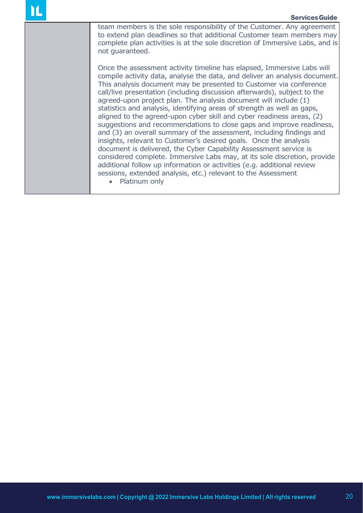team members is the sole responsibility of the Customer. Any agreement to extend plan deadlines so that additional Customer team members may complete plan activities is at the sole discretion of Immersive Labs, and is not guaranteed.

Once the assessment activity timeline has elapsed, Immersive Labs will compile activity data, analyse the data, and deliver an analysis document. This analysis document may be presented to Customer via conference call/live presentation (including discussion afterwards), subject to the agreed-upon project plan. The analysis document will include (1) statistics and analysis, identifying areas of strength as well as gaps, aligned to the agreed-upon cyber skill and cyber readiness areas, (2) suggestions and recommendations to close gaps and improve readiness, and (3) an overall summary of the assessment, including findings and insights, relevant to Customer's desired goals. Once the analysis document is delivered, the Cyber Capability Assessment service is considered complete. Immersive Labs may, at its sole discretion, provide additional follow up information or activities (e.g. additional review sessions, extended analysis, etc.) relevant to the Assessment

• Platinum only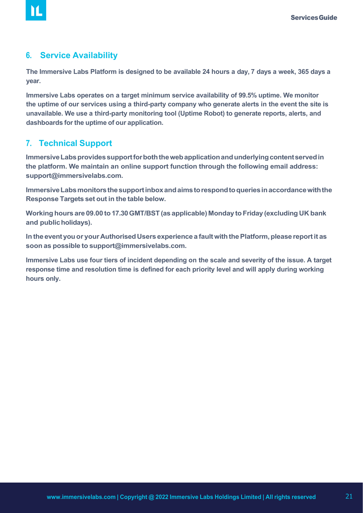#### <span id="page-20-0"></span>**6. Service Availability**

M

**The Immersive Labs Platform is designed to be available 24 hours a day, 7 days a week, 365 days a year.**

**Immersive Labs operates on a target minimum service availability of 99.5% uptime. We monitor the uptime of our services using a third-party company who generate alerts in the event the site is unavailable. We use a third-party monitoring tool (Uptime Robot) to generate reports, alerts, and dashboards forthe uptime of our application.**

#### **7. Technical Support**

Immersive Labs provides support for both the web application and underlying content served in **the platform. We maintain an online support function through the following email address: [support@immersivelabs.com.](mailto:support@immersivelabs.com)**

**ImmersiveLabsmonitorsthesupportinboxandaimstorespondtoqueriesinaccordancewiththe Response Targets set out in the table below.**

**Workinghours are 09.00 to17.30GMT/BST(as applicable) Monday to Friday (excluding UK bank and publicholidays).**

**In the eventyouor yourAuthorisedUsers experiencea faultwiththePlatform,please reportit as soon as possible to [support@immersivelabs.com.](mailto:support@immersivelabs.com)**

**Immersive Labs use four tiers of incident depending on the scale and severity of the issue. A target response time and resolution time is defined for each priority level and will apply during working hours only.**